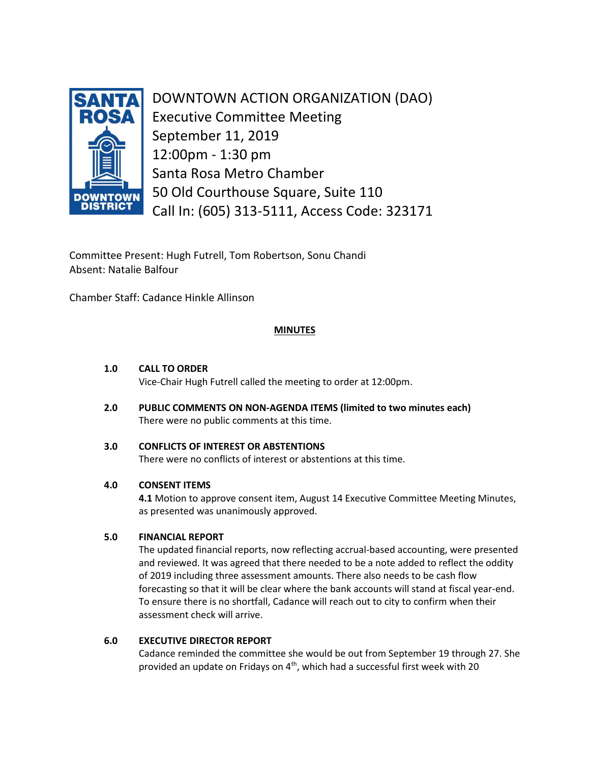

DOWNTOWN ACTION ORGANIZATION (DAO) Executive Committee Meeting September 11, 2019 12:00pm - 1:30 pm Santa Rosa Metro Chamber 50 Old Courthouse Square, Suite 110 Call In: (605) 313-5111, Access Code: 323171

Committee Present: Hugh Futrell, Tom Robertson, Sonu Chandi Absent: Natalie Balfour

Chamber Staff: Cadance Hinkle Allinson

# **MINUTES**

# **1.0 CALL TO ORDER**

Vice-Chair Hugh Futrell called the meeting to order at 12:00pm.

**2.0 PUBLIC COMMENTS ON NON-AGENDA ITEMS (limited to two minutes each)** There were no public comments at this time.

# **3.0 CONFLICTS OF INTEREST OR ABSTENTIONS**

There were no conflicts of interest or abstentions at this time.

## **4.0 CONSENT ITEMS**

 **4.1** Motion to approve consent item, August 14 Executive Committee Meeting Minutes, as presented was unanimously approved.

## **5.0 FINANCIAL REPORT**

The updated financial reports, now reflecting accrual-based accounting, were presented and reviewed. It was agreed that there needed to be a note added to reflect the oddity of 2019 including three assessment amounts. There also needs to be cash flow forecasting so that it will be clear where the bank accounts will stand at fiscal year-end. To ensure there is no shortfall, Cadance will reach out to city to confirm when their assessment check will arrive.

## **6.0 EXECUTIVE DIRECTOR REPORT**

Cadance reminded the committee she would be out from September 19 through 27. She provided an update on Fridays on 4<sup>th</sup>, which had a successful first week with 20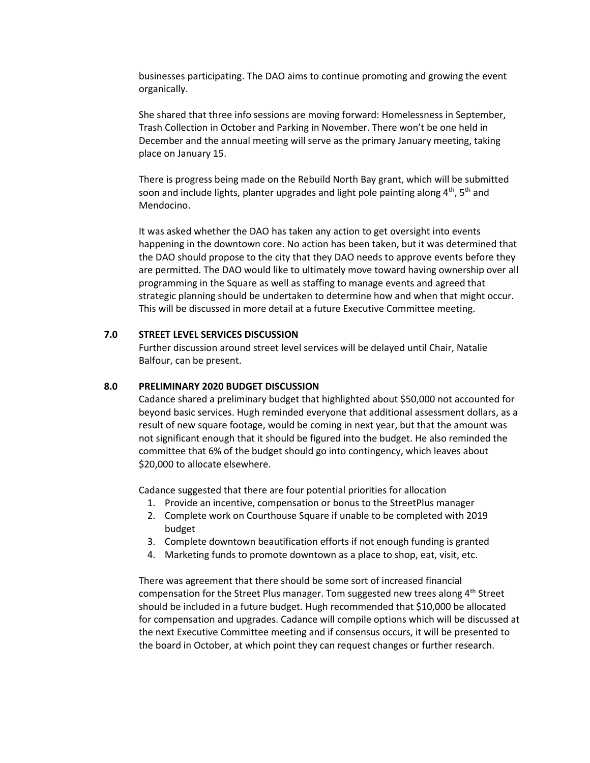businesses participating. The DAO aims to continue promoting and growing the event organically.

She shared that three info sessions are moving forward: Homelessness in September, Trash Collection in October and Parking in November. There won't be one held in December and the annual meeting will serve as the primary January meeting, taking place on January 15.

There is progress being made on the Rebuild North Bay grant, which will be submitted soon and include lights, planter upgrades and light pole painting along 4<sup>th</sup>, 5<sup>th</sup> and Mendocino.

It was asked whether the DAO has taken any action to get oversight into events happening in the downtown core. No action has been taken, but it was determined that the DAO should propose to the city that they DAO needs to approve events before they are permitted. The DAO would like to ultimately move toward having ownership over all programming in the Square as well as staffing to manage events and agreed that strategic planning should be undertaken to determine how and when that might occur. This will be discussed in more detail at a future Executive Committee meeting.

### **7.0 STREET LEVEL SERVICES DISCUSSION**

Further discussion around street level services will be delayed until Chair, Natalie Balfour, can be present.

#### **8.0 PRELIMINARY 2020 BUDGET DISCUSSION**

Cadance shared a preliminary budget that highlighted about \$50,000 not accounted for beyond basic services. Hugh reminded everyone that additional assessment dollars, as a result of new square footage, would be coming in next year, but that the amount was not significant enough that it should be figured into the budget. He also reminded the committee that 6% of the budget should go into contingency, which leaves about \$20,000 to allocate elsewhere.

Cadance suggested that there are four potential priorities for allocation

- 1. Provide an incentive, compensation or bonus to the StreetPlus manager
- 2. Complete work on Courthouse Square if unable to be completed with 2019 budget
- 3. Complete downtown beautification efforts if not enough funding is granted
- 4. Marketing funds to promote downtown as a place to shop, eat, visit, etc.

There was agreement that there should be some sort of increased financial compensation for the Street Plus manager. Tom suggested new trees along 4<sup>th</sup> Street should be included in a future budget. Hugh recommended that \$10,000 be allocated for compensation and upgrades. Cadance will compile options which will be discussed at the next Executive Committee meeting and if consensus occurs, it will be presented to the board in October, at which point they can request changes or further research.